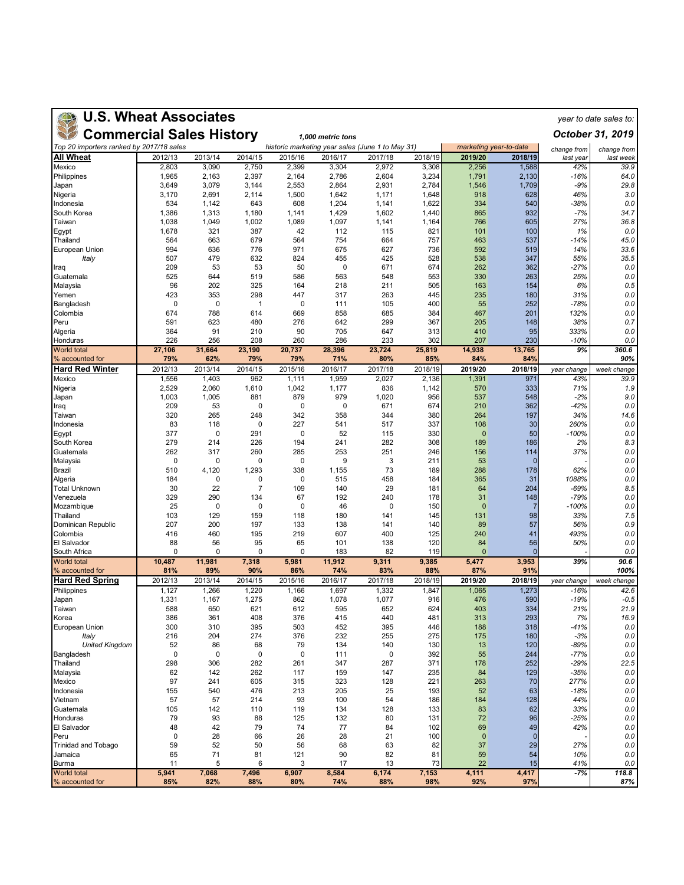| <b>U.S. Wheat Associates</b><br>year to date sales to: |                  |                  |                  |                  |                  |                                                  |                  |                        |                   |                  |                   |  |
|--------------------------------------------------------|------------------|------------------|------------------|------------------|------------------|--------------------------------------------------|------------------|------------------------|-------------------|------------------|-------------------|--|
| <b>Commercial Sales History</b>                        |                  |                  | October 31, 2019 |                  |                  |                                                  |                  |                        |                   |                  |                   |  |
| Top 20 importers ranked by 2017/18 sales               |                  |                  |                  |                  |                  | historic marketing year sales (June 1 to May 31) |                  | marketing year-to-date |                   | change from      | change from       |  |
| All Wheat<br>Mexico                                    | 2012/13<br>2,803 | 2013/14<br>3,090 | 2014/15<br>2,750 | 2015/16<br>2,399 | 2016/17<br>3,304 | 2017/18<br>2,972                                 | 2018/19<br>3,308 | 2019/20<br>2,256       | 2018/19<br>1,588  | last year<br>42% | last week<br>39.9 |  |
| Philippines                                            | 1,965            | 2,163            | 2,397            | 2,164            | 2,786            | 2,604                                            | 3,234            | 1,791                  | 2,130             | $-16%$           | 64.0              |  |
| Japan                                                  | 3,649            | 3,079            | 3,144            | 2,553            | 2,864            | 2,931                                            | 2,784            | 1,546                  | 1,709             | $-9%$            | 29.8              |  |
| Nigeria                                                | 3,170<br>534     | 2,691<br>1,142   | 2,114<br>643     | 1,500<br>608     | 1,642            | 1,171<br>1,141                                   | 1,648<br>1,622   | 918<br>334             | 628<br>540        | 46%<br>-38%      | 3.0<br>0.0        |  |
| Indonesia<br>South Korea                               | 1,386            | 1,313            | 1,180            | 1,141            | 1,204<br>1,429   | 1,602                                            | 1,440            | 865                    | 932               | $-7%$            | 34.7              |  |
| Taiwan                                                 | 1,038            | 1,049            | 1,002            | 1,089            | 1,097            | 1,141                                            | 1,164            | 766                    | 605               | 27%              | 36.8              |  |
| Egypt                                                  | 1,678            | 321              | 387              | 42               | 112              | 115                                              | 821              | 101                    | 100               | 1%               | 0.0               |  |
| Thailand<br>European Union                             | 564<br>994       | 663<br>636       | 679<br>776       | 564<br>971       | 754<br>675       | 664<br>627                                       | 757<br>736       | 463<br>592             | 537<br>519        | $-14%$<br>14%    | 45.0<br>33.6      |  |
| Italy                                                  | 507              | 479              | 632              | 824              | 455              | 425                                              | 528              | 538                    | 347               | 55%              | 35.5              |  |
| Iraq                                                   | 209              | 53               | 53               | 50               | 0                | 671                                              | 674              | 262                    | 362               | -27%             | 0.0               |  |
| Guatemala                                              | 525<br>96        | 644<br>202       | 519<br>325       | 586<br>164       | 563<br>218       | 548<br>211                                       | 553<br>505       | 330<br>163             | 263<br>154        | 25%<br>6%        | 0.0               |  |
| Malaysia<br>Yemen                                      | 423              | 353              | 298              | 447              | 317              | 263                                              | 445              | 235                    | 180               | 31%              | 0.5<br>0.0        |  |
| Bangladesh                                             | $\mathbf 0$      | 0                | 1                | 0                | 111              | 105                                              | 400              | 55                     | 252               | $-78%$           | 0.0               |  |
| Colombia                                               | 674              | 788              | 614              | 669              | 858              | 685                                              | 384              | 467                    | 201               | 132%             | 0.0               |  |
| Peru<br>Algeria                                        | 591<br>364       | 623<br>91        | 480<br>210       | 276<br>90        | 642<br>705       | 299<br>647                                       | 367<br>313       | 205<br>410             | 148<br>95         | 38%<br>333%      | 0.7<br>0.0        |  |
| Honduras                                               | 226              | 256              | 208              | 260              | 286              | 233                                              | 302              | 207                    | 230               | $-10%$           | 0.0               |  |
| <b>World total</b><br>% accounted for                  | 27,106<br>79%    | 31,664<br>62%    | 23.190<br>79%    | 20,737<br>79%    | 28,396<br>71%    | 23,724<br>80%                                    | 25,819<br>85%    | 14,938<br>84%          | 13,765<br>84%     | 9%               | 360.6<br>90%      |  |
| <b>Hard Red Winter</b>                                 | 2012/13          | 2013/14          | 2014/15          | 2015/16          | 2016/17          | 2017/18                                          | 2018/19          | 2019/20                | 2018/19           | year change      | week change       |  |
| Mexico                                                 | 1,556            | 1,403            | 962              | 1,111            | 1,959            | 2,027                                            | 2,136            | 1,391                  | 971               | 43%              | 39.9              |  |
| Nigeria                                                | 2,529            | 2,060            | 1,610            | 1,042            | 1,177            | 836                                              | 1,142            | 570                    | 333               | 71%              | 1.9               |  |
| Japan<br>Iraq                                          | 1,003<br>209     | 1,005<br>53      | 881<br>0         | 879<br>0         | 979<br>0         | 1,020<br>671                                     | 956<br>674       | 537<br>210             | 548<br>362        | $-2%$<br>-42%    | 9.0<br>0.0        |  |
| Taiwan                                                 | 320              | 265              | 248              | 342              | 358              | 344                                              | 380              | 264                    | 197               | 34%              | 14.6              |  |
| Indonesia                                              | 83               | 118              | 0                | 227              | 541              | 517                                              | 337              | 108                    | 30                | 260%             | 0.0               |  |
| Egypt<br>South Korea                                   | 377<br>279       | 0<br>214         | 291<br>226       | 0<br>194         | 52<br>241        | 115<br>282                                       | 330<br>308       | $\mathbf{0}$<br>189    | 50<br>186         | $-100%$<br>2%    | 0.0<br>8.3        |  |
| Guatemala                                              | 262              | 317              | 260              | 285              | 253              | 251                                              | 246              | 156                    | 114               | 37%              | 0.0               |  |
| Malaysia                                               | $\mathbf 0$      | $\mathbf 0$      | $\Omega$         | 0                | 9                | 3                                                | 211              | 53                     | $\Omega$          |                  | 0.0               |  |
| <b>Brazil</b>                                          | 510              | 4,120            | 1,293            | 338              | 1,155            | 73                                               | 189              | 288                    | 178               | 62%              | 0.0               |  |
| Algeria<br><b>Total Unknown</b>                        | 184<br>30        | 0<br>22          | 0<br>7           | 0<br>109         | 515<br>140       | 458<br>29                                        | 184<br>181       | 365<br>64              | 31<br>204         | 1088%<br>$-69%$  | 0.0<br>8.5        |  |
| Venezuela                                              | 329              | 290              | 134              | 67               | 192              | 240                                              | 178              | 31                     | 148               | $-79%$           | 0.0               |  |
| Mozambique                                             | 25               | 0                | 0                | 0                | 46               | 0                                                | 150              | $\mathbf{0}$           | $\overline{7}$    | $-100%$          | 0.0               |  |
| Thailand<br>Dominican Republic                         | 103<br>207       | 129<br>200       | 159<br>197       | 118<br>133       | 180<br>138       | 141<br>141                                       | 145<br>140       | 131<br>89              | 98<br>57          | 33%<br>56%       | 7.5<br>0.9        |  |
| Colombia                                               | 416              | 460              | 195              | 219              | 607              | 400                                              | 125              | 240                    | 41                | 493%             | 0.0               |  |
| El Salvador                                            | 88               | 56               | 95               | 65               | 101              | 138                                              | 120              | 84                     | 56                | 50%              | 0.0               |  |
| South Africa                                           | $\Omega$         | 0                | $\Omega$         | 0                | 183              | 82                                               | 119              | $\overline{0}$         | $\Omega$          |                  | 0.0               |  |
| <b>World total</b><br>% accounted for                  | 10,487<br>81%    | 11,981<br>89%    | 7,318<br>90%     | 5,981<br>86%     | 11,912<br>74%    | 9,311<br>83%                                     | 9,385<br>88%     | 5,477<br>87%           | 3,953<br>91%      | 39%              | 90.6<br>100%      |  |
| <b>Hard Red Spring</b>                                 | 2012/13          | 2013/14          | 2014/15          | 2015/16          | 2016/17          | 2017/18                                          | 2018/19          | 2019/20                | 2018/19           | year change      | week change       |  |
| Philippines                                            | 1,127            | 1,266            | 1,220            | 1,166            | 1,697            | 1,332                                            | 1,847            | 1,065                  | 1,273             | $-16%$           | 42.6              |  |
| Japan<br>ı alwan                                       | 1,331<br>588     | 1,167<br>650     | 1,275<br>621     | 862<br>612       | 1,078<br>595     | 1,077<br>652                                     | 916<br>624       | 476<br>403             | 590<br>334        | $-19%$<br>21%    | $-0.5$<br>21.9    |  |
| Korea                                                  | 386              | 361              | 408              | 376              | 415              | 440                                              | 481              | 313                    | 293               | 7%               | 16.9              |  |
| European Union                                         | 300              | 310              | 395              | 503              | 452              | 395                                              | 446              | 188                    | 318               | -41%             | 0.0               |  |
| Italy<br><b>United Kingdom</b>                         | 216<br>52        | 204<br>86        | 274<br>68        | 376<br>79        | 232<br>134       | 255<br>140                                       | 275<br>130       | 175<br>13              | 180<br>120        | $-3%$<br>-89%    | 0.0<br>0.0        |  |
| Bangladesh                                             | 0                | 0                | 0                | 0                | 111              | 0                                                | 392              | 55                     | 244               | -77%             | 0.0               |  |
| Thailand                                               | 298              | 306              | 282              | 261              | 347              | 287                                              | 371              | 178                    | 252               | $-29%$           | 22.5              |  |
| Malaysia                                               | 62               | 142              | 262              | 117              | 159              | 147                                              | 235              | 84                     | 129               | $-35%$           | 0.0               |  |
| Mexico<br>Indonesia                                    | 97<br>155        | 241<br>540       | 605<br>476       | 315<br>213       | 323<br>205       | 128<br>25                                        | 221<br>193       | 263<br>52              | 70<br>63          | 277%<br>$-18%$   | 0.0<br>0.0        |  |
| Vietnam                                                | 57               | 57               | 214              | 93               | 100              | 54                                               | 186              | 184                    | 128               | 44%              | 0.0               |  |
| Guatemala                                              | 105              | 142              | 110              | 119              | 134              | 128                                              | 133              | 83                     | 62                | 33%              | 0.0               |  |
| Honduras<br>El Salvador                                | 79               | 93               | 88<br>79         | 125<br>74        | 132<br>77        | 80                                               | 131              | 72                     | 96                | -25%<br>42%      | 0.0               |  |
| Peru                                                   | 48<br>0          | 42<br>28         | 66               | 26               | 28               | 84<br>21                                         | 102<br>100       | 69<br>$\mathbf 0$      | 49<br>$\mathbf 0$ |                  | 0.0<br>0.0        |  |
| <b>Trinidad and Tobago</b>                             | 59               | 52               | 50               | 56               | 68               | 63                                               | 82               | 37                     | 29                | 27%              | 0.0               |  |
| Jamaica                                                | 65               | 71               | 81               | 121              | 90               | 82                                               | 81               | 59                     | 54                | 10%              | 0.0               |  |
| <b>Burma</b><br><b>World total</b>                     | 11<br>5,941      | 5<br>7,068       | 6<br>7,496       | 3<br>6,907       | 17<br>8,584      | 13<br>6,174                                      | 73<br>7,153      | 22<br>4,111            | 15<br>4,417       | 41%<br>$-7%$     | 0.0<br>118.8      |  |
| % accounted for                                        | 85%              | 82%              | 88%              | 80%              | 74%              | 88%                                              | 98%              | 92%                    | 97%               |                  | 87%               |  |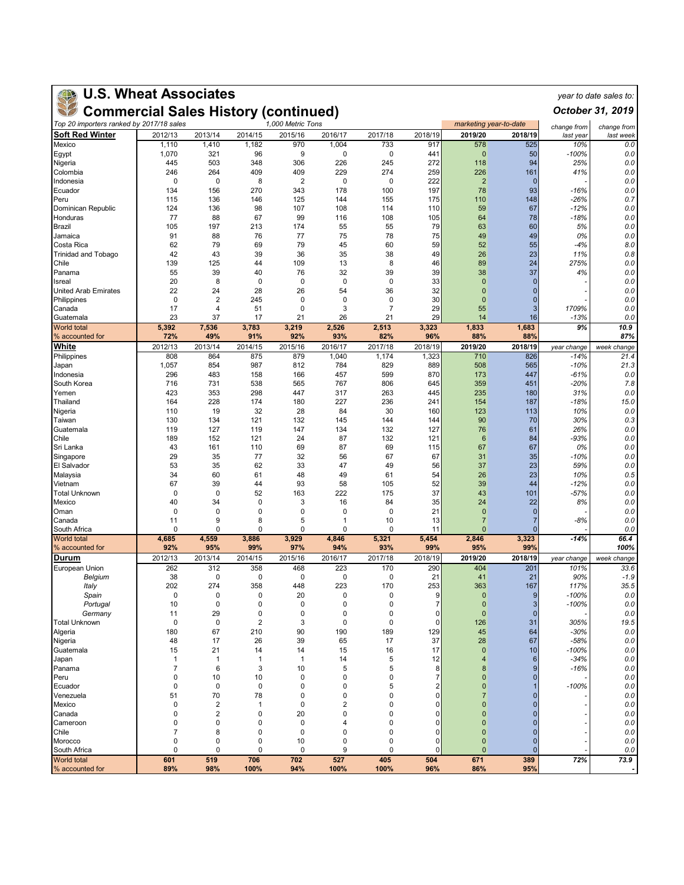## **U.S. Wheat Associates** *year to date sales to:*

**Commercial Sales History (continued)**

| Top 20 importers ranked by 2017/18 sales |                    | 1,000 Metric Tons<br>marketing year-to-date |                   |                |                         |                |              |                                | change from        | change from     |             |
|------------------------------------------|--------------------|---------------------------------------------|-------------------|----------------|-------------------------|----------------|--------------|--------------------------------|--------------------|-----------------|-------------|
| <b>Soft Red Winter</b>                   | 2012/13            | 2013/14                                     | 2014/15           | 2015/16        | 2016/17                 | 2017/18        | 2018/19      | 2019/20                        | 2018/19            | last year       | last week   |
| Mexico                                   | 1,110              | 1,410                                       | 1,182             | 970            | 1,004                   | 733            | 917          | 578                            | 525                | 10%             | 0.0         |
| Egypt                                    | 1,070              | 321                                         | 96                | 9              | 0                       | 0              | 441          | $\mathbf{0}$                   | 50                 | -100%           | 0.0         |
| Nigeria                                  | 445                | 503<br>264                                  | 348               | 306<br>409     | 226<br>229              | 245<br>274     | 272<br>259   | 118                            | 94                 | 25%             | 0.0         |
| Colombia<br>Indonesia                    | 246<br>0           | 0                                           | 409<br>8          | 2              | 0                       | 0              | 222          | 226<br>$\overline{2}$          | 161<br>$\mathbf 0$ | 41%             | 0.0<br>0.0  |
| Ecuador                                  | 134                | 156                                         | 270               | 343            | 178                     | 100            | 197          | 78                             | 93                 | -16%            | 0.0         |
| Peru                                     | 115                | 136                                         | 146               | 125            | 144                     | 155            | 175          | 110                            | 148                | -26%            | 0.7         |
| Dominican Republic                       | 124                | 136                                         | 98                | 107            | 108                     | 114            | 110          | 59                             | 67                 | $-12%$          | 0.0         |
| Honduras                                 | 77                 | 88                                          | 67                | 99             | 116                     | 108            | 105          | 64                             | 78                 | -18%            | 0.0         |
| Brazil                                   | 105                | 197                                         | 213               | 174            | 55                      | 55             | 79           | 63                             | 60                 | 5%              | 0.0         |
| Jamaica                                  | 91                 | 88                                          | 76                | 77             | 75                      | 78             | 75           | 49                             | 49                 | 0%              | 0.0         |
| Costa Rica                               | 62                 | 79                                          | 69                | 79             | 45                      | 60             | 59           | 52                             | 55                 | -4%             | 8.0         |
| <b>Trinidad and Tobago</b>               | 42                 | 43                                          | 39                | 36             | 35                      | 38             | 49           | 26                             | 23                 | 11%             | 0.8         |
| Chile<br>Panama                          | 139<br>55          | 125                                         | 44                | 109<br>76      | 13<br>32                | 8              | 46<br>39     | 89                             | 24                 | 275%            | 0.0         |
| Isreal                                   | 20                 | 39<br>8                                     | 40<br>0           | 0              | 0                       | 39<br>0        | 33           | 38<br>$\mathbf{0}$             | 37<br>$\Omega$     | 4%              | 0.0<br>0.0  |
| <b>United Arab Emirates</b>              | 22                 | 24                                          | 28                | 26             | 54                      | 36             | 32           | $\mathbf{0}$                   | ŋ                  |                 | 0.0         |
| Philippines                              | $\mathbf 0$        | $\overline{\mathbf{c}}$                     | 245               | $\mathbf 0$    | $\mathbf 0$             | 0              | 30           | $\mathbf{0}$                   | $\Omega$           |                 | 0.0         |
| Canada                                   | 17                 | $\overline{4}$                              | 51                | 0              | 3                       | $\overline{7}$ | 29           | 55                             | 3                  | 1709%           | 0.0         |
| Guatemala                                | 23                 | 37                                          | 17                | 21             | 26                      | 21             | 29           | 14                             | 16                 | $-13%$          | 0.0         |
| <b>World total</b><br>% accounted for    | 5,392<br>72%       | 7,536<br>49%                                | 3,783<br>91%      | 3,219<br>92%   | 2,526<br>93%            | 2,513<br>82%   | 3,323<br>96% | 1,833<br>88%                   | 1,683<br>88%       | 9%              | 10.9<br>87% |
| White                                    | 2012/13            | 2013/14                                     | 2014/15           | 2015/16        | 2016/17                 | 2017/18        | 2018/19      | 2019/20                        | 2018/19            | year change     | week change |
| Philippines                              | 808                | 864                                         | 875               | 879            | 1,040                   | 1,174          | 1,323        | 710                            | 826                | $-14%$          | 21.4        |
| Japan                                    | 1,057              | 854                                         | 987               | 812            | 784                     | 829            | 889          | 508                            | 565                | $-10%$          | 21.3        |
| Indonesia                                | 296                | 483                                         | 158               | 166            | 457                     | 599            | 870          | 173                            | 447                | -61%            | 0.0         |
| South Korea                              | 716                | 731                                         | 538               | 565            | 767                     | 806            | 645          | 359                            | 451                | $-20%$          | 7.8         |
| Yemen                                    | 423                | 353                                         | 298               | 447            | 317                     | 263            | 445          | 235                            | 180                | 31%             | 0.0         |
| Thailand                                 | 164                | 228                                         | 174               | 180            | 227                     | 236            | 241          | 154                            | 187                | -18%            | 15.0        |
| Nigeria                                  | 110                | 19                                          | 32                | 28             | 84                      | 30             | 160          | 123                            | 113                | 10%             | 0.0         |
| Taiwan                                   | 130<br>119         | 134<br>127                                  | 121               | 132<br>147     | 145                     | 144            | 144<br>127   | 90                             | 70                 | 30%             | 0.3<br>0.0  |
| Guatemala<br>Chile                       | 189                | 152                                         | 119<br>121        | 24             | 134<br>87               | 132<br>132     | 121          | 76<br>$6\phantom{1}6$          | 61<br>84           | 26%<br>-93%     | 0.0         |
| Sri Lanka                                | 43                 | 161                                         | 110               | 69             | 87                      | 69             | 115          | 67                             | 67                 | 0%              | 0.0         |
| Singapore                                | 29                 | 35                                          | 77                | 32             | 56                      | 67             | 67           | 31                             | 35                 | -10%            | 0.0         |
| El Salvador                              | 53                 | 35                                          | 62                | 33             | 47                      | 49             | 56           | 37                             | 23                 | 59%             | 0.0         |
| Malaysia                                 | 34                 | 60                                          | 61                | 48             | 49                      | 61             | 54           | 26                             | 23                 | 10%             | 0.5         |
| Vietnam                                  | 67                 | 39                                          | 44                | 93             | 58                      | 105            | 52           | 39                             | 44                 | -12%            | 0.0         |
| <b>Total Unknown</b>                     | $\mathbf 0$        | 0                                           | 52                | 163            | 222                     | 175            | 37           | 43                             | 101                | -57%            | 0.0         |
| Mexico                                   | 40                 | 34                                          | 0                 | 3              | 16                      | 84             | 35           | 24                             | 22                 | 8%              | 0.0         |
| Oman                                     | 0                  | 0                                           | 0                 | 0              | 0                       | 0              | 21           | $\mathbf{0}$                   | $\overline{0}$     |                 | 0.0         |
| Canada                                   | 11<br>0            | 9<br>$\mathbf 0$                            | 8<br>$\Omega$     | 5<br>0         | 1<br>0                  | 10<br>0        | 13<br>11     | $\overline{7}$<br>$\mathbf{0}$ | 7<br>$\Omega$      | -8%             | 0.0         |
| South Africa<br><b>World</b> total       | 4,685              | 4,559                                       | 3,886             | 3,929          | 4,846                   | 5,321          | 5,454        | 2,846                          | 3,323              | $-14%$          | 0.0<br>66.4 |
| % accounted for                          | 92%                | 95%                                         | 99%               | 97%            | 94%                     | 93%            | 99%          | 95%                            | 99%                |                 | 100%        |
| Durum                                    | 2012/13            | 2013/14                                     | 2014/15           | 2015/16        | 2016/17                 | 2017/18        | 2018/19      | 2019/20                        | 2018/19            | year change     | week change |
| European Union                           | 262                | 312                                         | 358               | 468            | 223                     | 170            | 290          | 404                            | 201                | 101%            | 33.6        |
| Belgium                                  | 38                 | 0                                           | 0                 | 0              | 0                       | 0              | 21           | 41                             | 21                 | 90%             | $-1.9$      |
| Italy<br>Spain                           | 202<br>$\mathbf 0$ | 274<br>0                                    | 358<br>0          | 448<br>20      | 223<br>0                | 170<br>0       | 253<br>9     | 363<br>$\mathbf{0}$            | 167<br>9           | 117%<br>$-100%$ | 35.5<br>0.0 |
| Portugal                                 | 10                 | 0                                           | 0                 | 0              | 0                       | 0              | 7            | $\overline{0}$                 | 3                  | $-100%$         | 0.0         |
| Germany                                  | 11                 | 29                                          | 0                 | 0              | 0                       | 0              | $\Omega$     | $\mathbf{0}$                   | $\mathbf{0}$       |                 | 0.0         |
| <b>Total Unknown</b>                     | 0                  | 0                                           | 2                 | 3              | 0                       | 0              | 0            | 126                            | 31                 | 305%            | 19.5        |
| Algeria                                  | 180                | 67                                          | 210               | 90             | 190                     | 189            | 129          | 45                             | 64                 | $-30%$          | 0.0         |
| Nigeria                                  | 48                 | 17                                          | 26                | 39             | 65                      | 17             | 37           | 28                             | 67                 | $-58%$          | 0.0         |
| Guatemala                                | 15                 | 21                                          | 14                | 14             | 15                      | 16             | 17           | $\mathbf{0}$                   | 10                 | -100%           | $0.0$       |
| Japan                                    | $\overline{1}$     | $\mathbf{1}$                                | 1                 | $\overline{1}$ | 14                      | 5              | 12           | $\overline{4}$                 | 6                  | -34%            | 0.0         |
| Panama                                   | $\overline{7}$     | 6                                           | 3                 | 10             | 5                       | 5              | 8<br>7       | 8                              |                    | $-16%$          | 0.0         |
| Peru<br>Ecuador                          | 0<br>0             | 10<br>0                                     | 10<br>$\mathbf 0$ | 0<br>0         | 0<br>0                  | 0<br>5         |              | $\mathbf{0}$<br>$\mathbf{0}$   |                    | $-100%$         | 0.0<br>0.0  |
| Venezuela                                | 51                 | 70                                          | 78                | 0              | 0                       | 0              | O            | 7                              |                    |                 | 0.0         |
| Mexico                                   | 0                  | $\overline{\mathbf{c}}$                     | 1                 | $\mathbf 0$    | $\overline{\mathbf{c}}$ | 0              | C            | $\overline{0}$                 |                    |                 | 0.0         |
| Canada                                   | 0                  | $\overline{\mathbf{c}}$                     | 0                 | 20             | 0                       | 0              | C            | $\mathbf{0}$                   |                    |                 | 0.0         |
| Cameroon                                 | 0                  | 0                                           | 0                 | 0              | 4                       | 0              | C            | $\mathbf{0}$                   | 0                  |                 | 0.0         |
| Chile                                    | 7                  | 8                                           | 0                 | 0              | 0                       | 0              | C            | $\overline{0}$                 |                    |                 | 0.0         |
| Morocco                                  | $\mathbf 0$        | 0                                           | 0                 | 10             | 0                       | 0              | 0            | $\mathbf{0}$                   | $\mathbf{0}$       |                 | 0.0         |
| South Africa                             | 0                  | $\mathbf 0$                                 | $\Omega$          | 0              | 9                       | 0              | O            | $\mathbf{0}$                   | $\Omega$           |                 | 0.0         |
| <b>World total</b>                       | 601                | 519                                         | 706               | 702<br>94%     | 527<br>100%             | 405<br>100%    | 504<br>96%   | 671<br>86%                     | 389<br>95%         | 72%             | 73.9        |
| % accounted for                          | 89%                | 98%                                         | 100%              |                |                         |                |              |                                |                    |                 |             |

*October 31, 2019*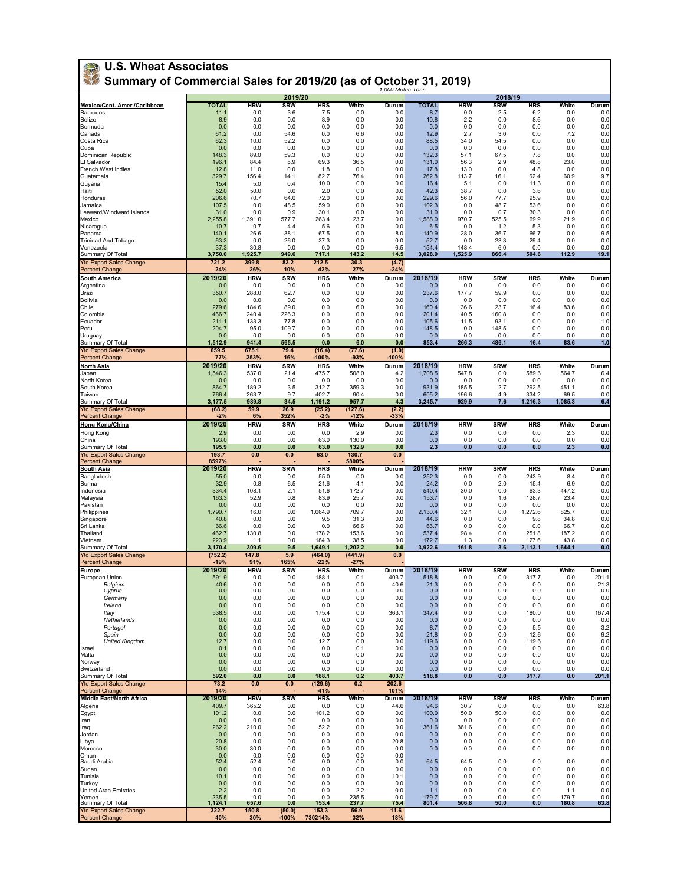| <b>U.S. Wheat Associates</b><br>Summary of Commercial Sales for 2019/20 (as of October 31, 2019)<br>1,000 Metric Tons |                      |                     |                    |                     |                    |                 |                     |                    |                   |                     |                 |                |
|-----------------------------------------------------------------------------------------------------------------------|----------------------|---------------------|--------------------|---------------------|--------------------|-----------------|---------------------|--------------------|-------------------|---------------------|-----------------|----------------|
|                                                                                                                       |                      |                     | 2019/20            |                     |                    |                 |                     |                    | 2018/19           |                     |                 |                |
| Mexico/Cent. Amer./Caribbean<br>Barbados                                                                              | <b>TOTAL</b><br>11.1 | <b>HRW</b><br>0.0   | <b>SRW</b><br>3.6  | <b>HRS</b><br>7.5   | White<br>0.0       | Durum<br>0.0    | <b>TOTAL</b><br>8.7 | <b>HRW</b><br>0.0  | <b>SRW</b><br>2.5 | <b>HRS</b><br>6.2   | White<br>0.0    | Durum<br>0.0   |
| <b>Belize</b>                                                                                                         | 8.9                  | 0.0                 | 0.0                | 8.9                 | 0.0                | 0.0             | 10.8                | 2.2                | 0.0               | 8.6                 | 0.0             | 0.0            |
| Bermuda<br>Canada                                                                                                     | 0.0<br>61.2          | 0.0<br>0.0          | 0.0<br>54.6        | 0.0<br>0.0          | 0.0<br>6.6         | 0.0<br>0.0      | 0.0<br>12.9         | 0.0<br>2.7         | 0.0<br>3.0        | 0.0<br>0.0          | 0.0<br>7.2      | 0.0<br>0.0     |
| Costa Rica                                                                                                            | 62.3                 | 10.0                | 52.2               | 0.0                 | 0.0                | 0.0             | 88.5                | 34.0               | 54.5              | 0.0                 | 0.0             | 0.0            |
| Cuba<br>Dominican Republic                                                                                            | 0.0<br>148.3         | 0.0<br>89.0         | 0.0<br>59.3        | 0.0<br>0.0          | 0.0<br>0.0         | 0.0<br>0.0      | 0.0<br>132.3        | 0.0<br>57.1        | 0.0<br>67.5       | 0.0<br>7.8          | 0.0<br>0.0      | 0.0<br>0.0     |
| El Salvador                                                                                                           | 196.1                | 84.4                | 5.9                | 69.3                | 36.5               | 0.0             | 131.0               | 56.3               | 2.9               | 48.8                | 23.0            | 0.0            |
| French West Indies<br>Guatemala                                                                                       | 12.8<br>329.7        | 11.0<br>156.4       | 0.0<br>14.1        | 1.8<br>82.7         | 0.0<br>76.4        | 0.0<br>0.0      | 17.8<br>262.8       | 13.0<br>113.7      | 0.0<br>16.1       | 4.8<br>62.4         | 0.0<br>60.9     | 0.0<br>9.7     |
| Guyana                                                                                                                | 15.4                 | 5.0                 | 0.4                | 10.0                | 0.0                | 0.0             | 16.4                | 5.1                | 0.0               | 11.3                | 0.0             | 0.0            |
| Haiti<br>Honduras                                                                                                     | 52.0<br>206.6        | 50.0<br>70.7        | 0.0<br>64.0        | 2.0<br>72.0         | 0.0<br>0.0         | 0.0<br>0.0      | 42.3<br>229.6       | 38.7<br>56.0       | 0.0<br>77.7       | 3.6<br>95.9         | 0.0<br>0.0      | 0.0<br>0.0     |
| Jamaica                                                                                                               | 107.5                | 0.0                 | 48.5               | 59.0                | 0.0                | 0.0             | 102.3               | 0.0                | 48.7              | 53.6                | 0.0             | 0.0            |
| Leeward/Windward Islands<br>Mexico                                                                                    | 31.0<br>2,255.8      | 0.0<br>1,391.0      | 0.9<br>577.7       | 30.1<br>263.4       | 0.0<br>23.7        | 0.0<br>0.0      | 31.0<br>1,588.0     | 0.0<br>970.7       | 0.7<br>525.5      | 30.3<br>69.9        | 0.0<br>21.9     | 0.0<br>0.0     |
| Nicaragua                                                                                                             | 10.7                 | 0.7                 | 4.4                | 5.6                 | 0.0                | 0.0             | 6.5                 | 0.0                | 1.2               | 5.3                 | 0.0             | 0.0            |
| Panama<br><b>Trinidad And Tobago</b>                                                                                  | 140.1<br>63.3        | 26.6<br>0.0         | 38.1<br>26.0       | 67.5<br>37.3        | 0.0<br>0.0         | 8.0<br>0.0      | 140.9<br>52.7       | 28.0<br>0.0        | 36.7<br>23.3      | 66.7<br>29.4        | 0.0<br>0.0      | 9.5<br>0.0     |
| Venezuela                                                                                                             | 37.3                 | 30.8                | 0.0                | 0.0                 | 0.0                | 6.5             | 154.4               | 148.4              | 6.0               | 0.0                 | 0.0             | 0.0            |
| Summary Of Total<br><b>Ytd Export Sales Change</b>                                                                    | 3,750.0<br>721.2     | 1,925.7<br>399.8    | 949.6<br>83.2      | 717.1<br>212.5      | 143.2<br>30.3      | 14.5<br>(4.7)   | 3,028.9             | 1,525.9            | 866.4             | 504.6               | 112.9           | 19.1           |
| <b>Percent Change</b>                                                                                                 | 24%                  | 26%                 | 10%                | 42%                 | 27%                | -24%            |                     |                    |                   |                     |                 |                |
| <b>South America</b><br>Argentina                                                                                     | 2019/20<br>0.0       | <b>HRW</b><br>0.0   | <b>SRW</b><br>0.0  | <b>HRS</b><br>0.0   | White<br>0.0       | Durum<br>0.0    | 2018/19<br>0.0      | <b>HRW</b><br>0.0  | <b>SRW</b><br>0.0 | <b>HRS</b><br>0.0   | White<br>0.0    | Durum<br>0.0   |
| Brazil                                                                                                                | 350.7                | 288.0               | 62.7               | 0.0                 | 0.0                | 0.0             | 237.6               | 177.7              | 59.9              | 0.0                 | 0.0             | 0.0            |
| Bolivia<br>Chile                                                                                                      | 0.0<br>279.6         | 0.0<br>184.6        | 0.0<br>89.0        | 0.0<br>0.0          | 0.0<br>6.0         | 0.0<br>0.0      | 0.0<br>160.4        | 0.0<br>36.6        | 0.0<br>23.7       | 0.0<br>16.4         | 0.0<br>83.6     | 0.0<br>0.0     |
| Colombia                                                                                                              | 466.7                | 240.4               | 226.3              | 0.0                 | 0.0                | 0.0             | 201.4               | 40.5               | 160.8             | 0.0                 | 0.0             | 0.0            |
| Ecuador<br>Peru                                                                                                       | 211.1<br>204.7       | 133.3<br>95.0       | 77.8<br>109.7      | 0.0<br>0.0          | 0.0<br>0.0         | 0.0<br>0.0      | 105.6<br>148.5      | 11.5<br>0.0        | 93.1<br>148.5     | 0.0<br>0.0          | 0.0<br>0.0      | 1.0<br>0.0     |
| Uruguay                                                                                                               | 0.0                  | 0.0                 | 0.0                | 0.0                 | 0.0                | 0.0             | 0.0                 | 0.0                | 0.0               | 0.0                 | 0.0             | 0.0            |
| Summary Of Total<br><b>Ytd Export Sales Change</b>                                                                    | 1,512.9<br>659.5     | 941.4<br>675.1      | 565.5<br>79.4      | 0.0<br>(16.4)       | 6.0                | 0.0<br>(1.0)    | 853.4               | 266.3              | 486.1             | 16.4                | 83.6            | 1.0            |
| <b>Percent Change</b>                                                                                                 | 77%                  | 253%                | 16%                | -100%               | (77.6)<br>$-93%$   | $-100%$         |                     |                    |                   |                     |                 |                |
| <b>North Asia</b>                                                                                                     | 2019/20              | <b>HRW</b>          | <b>SRW</b>         | <b>HRS</b>          | White              | Durum           | 2018/19             | <b>HRW</b>         | <b>SRW</b>        | <b>HRS</b>          | White           | Durum          |
| Japan<br>North Korea                                                                                                  | 1,546.3<br>0.0       | 537.0<br>0.0        | 21.4<br>0.0        | 475.7<br>0.0        | 508.0<br>0.0       | 4.2<br>0.0      | 1,708.5<br>0.0      | 547.8<br>0.0       | 0.0<br>0.0        | 589.6<br>0.0        | 564.7<br>0.0    | 6.4<br>0.0     |
| South Korea                                                                                                           | 864.7                | 189.2               | 3.5                | 312.7               | 359.3              | 0.0             | 931.9               | 185.5              | 2.7               | 292.5               | 451.1           | 0.0            |
| Taiwan<br>Summary Of Total                                                                                            | 766.4<br>3,177.5     | 263.7<br>989.8      | 9.7<br>34.5        | 402.7<br>1,191.2    | 90.4<br>957.7      | 0.0<br>4.3      | 605.2<br>3,245.7    | 196.6<br>929.9     | 4.9<br>7.6        | 334.2<br>1,216.3    | 69.5<br>1,085.3 | 0.0<br>6.4     |
| <b>Ytd Export Sales Change</b>                                                                                        | (68.2)               | 59.9                | 26.9               | (25.2)              | (127.6)            | (2.2)           |                     |                    |                   |                     |                 |                |
| <b>Percent Change</b><br><b>Hong Kong/China</b>                                                                       | $-2%$<br>2019/20     | 6%<br><b>HRW</b>    | 352%<br><b>SRW</b> | $-2%$<br><b>HRS</b> | $-12%$<br>White    | $-33%$<br>Durum | 2018/19             | <b>HRW</b>         | <b>SRW</b>        | <b>HRS</b>          | White           | Durum          |
| Hong Kong                                                                                                             | 2.9                  | 0.0                 | 0.0                | 0.0                 | 2.9                | 0.0             | 2.3                 | 0.0                | 0.0               | 0.0                 | 2.3             | 0.0            |
| China<br>Summary Of Total                                                                                             | 193.0<br>195.9       | 0.0<br>0.0          | 0.0<br>0.0         | 63.0<br>63.0        | 130.0<br>132.9     | 0.0<br>0.0      | 0.0<br>2.3          | 0.0<br>0.0         | 0.0<br>0.0        | 0.0<br>0.0          | 0.0<br>2.3      | 0.0<br>0.0     |
| <b>Ytd Export Sales Change</b>                                                                                        | 193.7                | 0.0                 | 0.0                | 63.0                | 130.7              | 0.0             |                     |                    |                   |                     |                 |                |
| <b>Percent Change</b><br>South Asia                                                                                   | 8597%<br>2019/20     | <b>HRW</b>          | <b>SRW</b>         | <b>HRS</b>          | 5800%<br>White     | Durum           | 2018/19             | <b>HRW</b>         | <b>SRW</b>        | <b>HRS</b>          | White           | Durum          |
| Bangladesh                                                                                                            | 55.0                 | 0.0                 | 0.0                | 55.0                | 0.0                | 0.0             | 252.3               | 0.0                | 0.0               | 243.9               | 8.4             | 0.0            |
| Burma<br>Indonesia                                                                                                    | 32.9<br>334.4        | 0.8<br>108.1        | 6.5<br>2.1         | 21.6<br>51.6        | 4.1<br>172.7       | 0.0<br>0.0      | 24.2<br>540.4       | 0.0<br>30.0        | 2.0<br>0.0        | 15.4<br>63.3        | 6.9<br>447.2    | 0.0<br>0.0     |
| Malaysia                                                                                                              | 163.3                | 52.9                | 0.8                | 83.9                | 25.7               | 0.0             | 153.7               | 0.0                | 1.6               | 128.7               | 23.4            | 0.0            |
| Pakistan<br>Philippines                                                                                               | 0.0<br>1,790.7       | 0.0<br>16.0         | 0.0<br>0.0         | 0.0<br>1.064.9      | 0.0<br>709.7       | 0.0<br>0.0      | 0.0<br>2,130.4      | 0.0<br>32.1        | 0.0<br>0.0        | 0.0<br>1,272.6      | 0.0<br>825.7    | 0.0<br>0.0     |
| Singapore                                                                                                             | 40.8                 | 0.0                 | 0.0                | 9.5                 | 31.3               | 0.0             | 44.6                | 0.0                | 0.0               | 9.8                 | 34.8            | 0.0            |
| Sri Lanka<br>Thailand                                                                                                 | 66.6<br>462.7        | 0.0<br>130.8        | 0.0<br>0.0         | 0.0<br>178.2        | 66.6<br>153.6      | 0.0<br>0.0      | 66.7<br>537.4       | 0.0<br>98.4        | 0.0<br>0.0        | 0.0<br>251.8        | 66.7<br>187.2   | 0.0<br>0.0     |
| Vietnam                                                                                                               | 223.9                | 1.1                 | 0.0                | 184.3               | 38.5               | 0.0             | 172.7               | 1.3                | 0.0               | 127.6               | 43.8            | 0.0            |
| Summary Of Total<br><b>Ytd Export Sales Change</b>                                                                    | 3,170.4<br>(752.2)   | 309.6<br>147.8      | 9.5<br>5.9         | 1,649.1<br>(464.0)  | 1,202.2<br>(441.9) | 0.0<br>0.0      | 3,922.6             | 161.8              | 3.6               | 2,113.1             | 1,644.1         | 0.0            |
| <b>Percent Change</b>                                                                                                 | $-19%$               | 91%                 | 165%               | $-22%$              | $-27%$             |                 |                     |                    |                   |                     |                 |                |
| Europe<br>European Union                                                                                              | 2019/20<br>591.9     | <b>HRW</b><br>0.0   | <b>SRW</b><br>0.0  | <b>HRS</b><br>188.1 | White<br>0.1       | Durum<br>403.7  | 2018/19<br>518.8    | <b>HRW</b><br>0.0  | <b>SRW</b><br>0.0 | <b>HRS</b><br>317.7 | White<br>0.0    | Durum<br>201.1 |
| Belgium                                                                                                               | 40.6                 | 0.0                 | 0.0                | 0.0                 | 0.0                | 40.6            | 21.3                | 0.0                | 0.0               | 0.0                 | 0.0             | 21.3           |
| Cyprus<br>Germany                                                                                                     | 0.0<br>0.0           | 0.0<br>0.0          | 0.0<br>0.0         | 0.0<br>0.0          | 0.0<br>0.0         | 0.0<br>0.0      | 0.0<br>0.0          | 0.0<br>0.0         | 0.0<br>0.0        | 0.0<br>0.0          | 0.0<br>0.0      | 0.0<br>0.0     |
| Ireland                                                                                                               | 0.0                  | 0.0                 | 0.0                | 0.0                 | 0.0                | 0.0             | 0.0                 | 0.0                | 0.0               | 0.0                 | 0.0             | 0.0            |
| Italy<br>Netherlands                                                                                                  | 538.5<br>0.0         | 0.0<br>0.0          | 0.0<br>0.0         | 175.4<br>0.0        | 0.0<br>0.0         | 363.1<br>0.0    | 347.4<br>0.0        | 0.0<br>0.0         | 0.0<br>0.0        | 180.0<br>0.0        | 0.0<br>0.0      | 167.4<br>0.0   |
| Portugal                                                                                                              | 0.0                  | 0.0                 | 0.0                | 0.0                 | 0.0                | 0.0             | 8.7                 | 0.0                | 0.0               | 5.5                 | 0.0             | 3.2            |
| Spain<br><b>United Kingdom</b>                                                                                        | 0.0<br>12.7          | 0.0<br>0.0          | 0.0<br>0.0         | 0.0<br>12.7         | 0.0<br>0.0         | 0.0<br>0.0      | 21.8<br>119.6       | 0.0<br>0.0         | 0.0<br>0.0        | 12.6<br>119.6       | 0.0<br>0.0      | 9.2<br>0.0     |
| Israel                                                                                                                | 0.1                  | 0.0                 | 0.0                | 0.0                 | 0.1                | 0.0             | 0.0                 | 0.0                | 0.0               | 0.0                 | 0.0             | 0.0            |
| Malta<br>Norway                                                                                                       | 0.0<br>0.0           | 0.0<br>0.0          | 0.0<br>0.0         | 0.0<br>0.0          | 0.0<br>0.0         | 0.0<br>0.0      | 0.0<br>0.0          | 0.0<br>0.0         | 0.0<br>0.0        | 0.0<br>0.0          | 0.0<br>0.0      | 0.0<br>0.0     |
| Switzerland                                                                                                           | 0.0                  | 0.0                 | 0.0                | 0.0                 | 0.0                | 0.0             | 0.0                 | 0.0                | 0.0               | 0.0                 | 0.0             | 0.0            |
| Summary Of Total<br><b>Ytd Export Sales Change</b>                                                                    | 592.0<br>73.2        | 0.0<br>0.0          | 0.0<br>0.0         | 188.1<br>(129.6)    | 0.2<br>0.2         | 403.7<br>202.6  | 518.8               | 0.0                | 0.0               | 317.7               | 0.0             | 201.1          |
| <b>Percent Change</b>                                                                                                 | 14%                  |                     |                    | $-41%$              |                    | 101%            |                     |                    |                   |                     |                 |                |
| Middle East/North Africa<br>Algeria                                                                                   | 2019/20<br>409.7     | <b>HRW</b><br>365.2 | <b>SRW</b><br>0.0  | <b>HRS</b><br>0.0   | White<br>0.0       | Durum<br>44.6   | 2018/19<br>94.6     | <b>HRW</b><br>30.7 | <b>SRW</b><br>0.0 | <b>HRS</b><br>0.0   | White<br>0.0    | Durum<br>63.8  |
| Egypt                                                                                                                 | 101.2                | 0.0                 | 0.0                | 101.2               | 0.0                | 0.0             | 100.0               | 50.0               | 50.0              | 0.0                 | 0.0             | 0.0            |
| Iran<br>Iraq                                                                                                          | 0.0<br>262.2         | 0.0<br>210.0        | 0.0<br>0.0         | 0.0<br>52.2         | 0.0<br>0.0         | 0.0<br>0.0      | 0.0<br>361.6        | 0.0<br>361.6       | 0.0<br>0.0        | 0.0<br>0.0          | 0.0<br>0.0      | 0.0<br>0.0     |
| Jordan                                                                                                                | 0.0                  | 0.0                 | 0.0                | 0.0                 | 0.0                | 0.0             | 0.0                 | 0.0                | 0.0               | 0.0                 | 0.0             | 0.0            |
| Libya<br>Morocco                                                                                                      | 20.8<br>30.0         | 0.0<br>30.0         | 0.0<br>0.0         | 0.0<br>0.0          | 0.0<br>0.0         | 20.8<br>0.0     | 0.0<br>0.0          | 0.0<br>0.0         | 0.0<br>0.0        | 0.0<br>0.0          | 0.0<br>0.0      | 0.0<br>0.0     |
| Oman                                                                                                                  | 0.0                  | 0.0                 | 0.0                | 0.0                 | 0.0                | 0.0             |                     |                    |                   |                     |                 |                |
| Saudi Arabia<br>Sudan                                                                                                 | 52.4<br>0.0          | 52.4<br>0.0         | 0.0<br>0.0         | 0.0<br>0.0          | 0.0<br>0.0         | 0.0<br>0.0      | 64.5<br>0.0         | 64.5<br>0.0        | 0.0<br>0.0        | 0.0<br>0.0          | 0.0<br>0.0      | 0.0<br>0.0     |
| Tunisia                                                                                                               | 10.1                 | 0.0                 | 0.0                | 0.0                 | 0.0                | 10.1            | 0.0                 | 0.0                | 0.0               | 0.0                 | 0.0             | 0.0            |
| Turkey<br>United Arab Emirates                                                                                        | 0.0<br>2.2           | 0.0<br>0.0          | 0.0<br>0.0         | 0.0<br>0.0          | 0.0<br>2.2         | 0.0<br>0.0      | 0.0<br>1.1          | 0.0<br>0.0         | 0.0<br>0.0        | 0.0<br>0.0          | 0.0<br>1.1      | 0.0<br>0.0     |
| Yemen<br>Summary Of Total                                                                                             | 235.5<br>1,124.1     | 0.0<br>657.6        | 0.0<br>0.0         | 0.0<br>153.4        | 235.5<br>237.7     | 0.0<br>75.4     | 179.7<br>801.4      | 0.0<br>506.8       | 0.0<br>50.0       | 0.0<br>0.0          | 179.7<br>180.8  | 0.0<br>63.8    |
| <b>Ytd Export Sales Change</b>                                                                                        | 322.7                | 150.8               | (50.0)             | 153.3               | 56.9               | 11.6            |                     |                    |                   |                     |                 |                |
| <b>Percent Change</b>                                                                                                 | 40%                  | 30%                 | $-100%$            | 730214%             | 32%                | 18%             |                     |                    |                   |                     |                 |                |